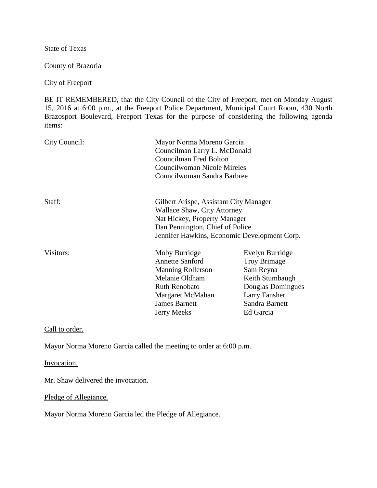State of Texas

County of Brazoria

City of Freeport

BE IT REMEMBERED, that the City Council of the City of Freeport, met on Monday August 15, 2016 at 6:00 p.m., at the Freeport Police Department, Municipal Court Room, 430 North Brazosport Boulevard, Freeport Texas for the purpose of considering the following agenda items:

| City Council: | Mayor Norma Moreno Garcia<br>Councilman Larry L. McDonald<br>Councilman Fred Bolton<br>Councilwoman Nicole Mireles<br>Councilwoman Sandra Barbree                                        |                                                                                                                                                    |
|---------------|------------------------------------------------------------------------------------------------------------------------------------------------------------------------------------------|----------------------------------------------------------------------------------------------------------------------------------------------------|
| Staff:        | Gilbert Arispe, Assistant City Manager<br>Wallace Shaw, City Attorney<br>Nat Hickey, Property Manager<br>Dan Pennington, Chief of Police<br>Jennifer Hawkins, Economic Development Corp. |                                                                                                                                                    |
| Visitors:     | Moby Burridge<br><b>Annette Sanford</b><br><b>Manning Rollerson</b><br>Melanie Oldham<br><b>Ruth Renobato</b><br>Margaret McMahan<br><b>James Barnett</b><br><b>Jerry Meeks</b>          | Evelyn Burridge<br><b>Troy Brimage</b><br>Sam Reyna<br>Keith Stumbaugh<br>Douglas Domingues<br><b>Larry Fansher</b><br>Sandra Barnett<br>Ed Garcia |

Call to order.

Mayor Norma Moreno Garcia called the meeting to order at 6:00 p.m.

Invocation.

Mr. Shaw delivered the invocation.

Pledge of Allegiance.

Mayor Norma Moreno Garcia led the Pledge of Allegiance.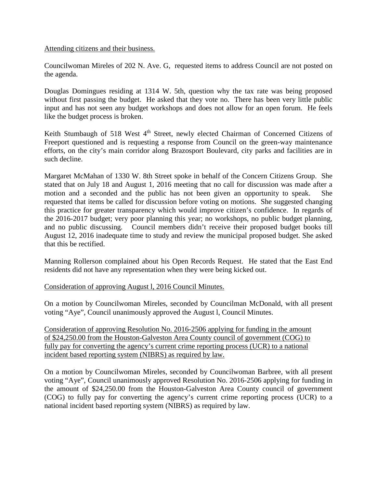## Attending citizens and their business.

Councilwoman Mireles of 202 N. Ave. G, requested items to address Council are not posted on the agenda.

Douglas Domingues residing at 1314 W. 5th, question why the tax rate was being proposed without first passing the budget. He asked that they vote no. There has been very little public input and has not seen any budget workshops and does not allow for an open forum. He feels like the budget process is broken.

Keith Stumbaugh of 518 West 4<sup>th</sup> Street, newly elected Chairman of Concerned Citizens of Freeport questioned and is requesting a response from Council on the green-way maintenance efforts, on the city's main corridor along Brazosport Boulevard, city parks and facilities are in such decline.

Margaret McMahan of 1330 W. 8th Street spoke in behalf of the Concern Citizens Group. She stated that on July 18 and August 1, 2016 meeting that no call for discussion was made after a motion and a seconded and the public has not been given an opportunity to speak. She requested that items be called for discussion before voting on motions. She suggested changing this practice for greater transparency which would improve citizen's confidence. In regards of the 2016-2017 budget; very poor planning this year; no workshops, no public budget planning, and no public discussing. Council members didn't receive their proposed budget books till August 12, 2016 inadequate time to study and review the municipal proposed budget. She asked that this be rectified.

Manning Rollerson complained about his Open Records Request. He stated that the East End residents did not have any representation when they were being kicked out.

## Consideration of approving August l, 2016 Council Minutes.

On a motion by Councilwoman Mireles, seconded by Councilman McDonald, with all present voting "Aye", Council unanimously approved the August l, Council Minutes.

Consideration of approving Resolution No. 2016-2506 applying for funding in the amount of \$24,250.00 from the Houston-Galveston Area County council of government (COG) to fully pay for converting the agency's current crime reporting process (UCR) to a national incident based reporting system (NIBRS) as required by law.

On a motion by Councilwoman Mireles, seconded by Councilwoman Barbree, with all present voting "Aye", Council unanimously approved Resolution No. 2016-2506 applying for funding in the amount of \$24,250.00 from the Houston-Galveston Area County council of government (COG) to fully pay for converting the agency's current crime reporting process (UCR) to a national incident based reporting system (NIBRS) as required by law.